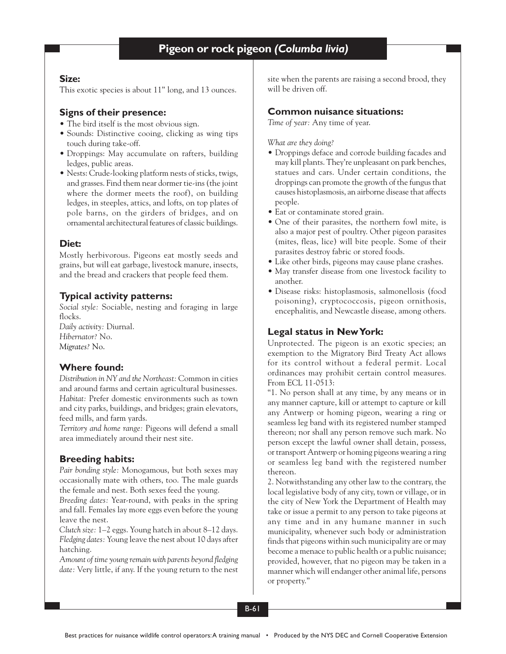### **Size:**

This exotic species is about 11" long, and 13 ounces.

# **Signs of their presence:**

- The bird itself is the most obvious sign.
- Sounds: Distinctive cooing, clicking as wing tips touch during take-off.
- Droppings: May accumulate on rafters, building ledges, public areas.
- Nests: Crude-looking platform nests of sticks, twigs, and grasses. Find them near dormer tie-ins (the joint where the dormer meets the roof), on building ledges, in steeples, attics, and lofts, on top plates of pole barns, on the girders of bridges, and on ornamental architectural features of classic buildings.

# **Diet:**

Mostly herbivorous. Pigeons eat mostly seeds and grains, but will eat garbage, livestock manure, insects, and the bread and crackers that people feed them.

# **Typical activity patterns:**

*Social style:* Sociable, nesting and foraging in large flocks.

*Daily activity:* Diurnal. *Hibernator?* No. *Migrates?* No.

## **Where found:**

*Distribution in NY and the Northeast:* Common in cities and around farms and certain agricultural businesses. *Habitat:* Prefer domestic environments such as town and city parks, buildings, and bridges; grain elevators, feed mills, and farm yards.

*Territory and home range:* Pigeons will defend a small area immediately around their nest site.

# **Breeding habits:**

*Pair bonding style:* Monogamous, but both sexes may occasionally mate with others, too. The male guards the female and nest. Both sexes feed the young.

*Breeding dates:* Year-round, with peaks in the spring and fall. Females lay more eggs even before the young leave the nest.

*Clutch size:* 1–2 eggs. Young hatch in about 8–12 days. *Fledging dates:* Young leave the nest about 10 days after hatching.

*Amount of time young remain with parents beyond fledging date:* Very little, if any. If the young return to the nest

site when the parents are raising a second brood, they will be driven off.

# **Common nuisance situations:**

*Time of year:* Any time of year.

*What are they doing?*

- Droppings deface and corrode building facades and may kill plants. They're unpleasant on park benches, statues and cars. Under certain conditions, the droppings can promote the growth of the fungus that causes histoplasmosis, an airborne disease that affects people.
- Eat or contaminate stored grain.
- One of their parasites, the northern fowl mite, is also a major pest of poultry. Other pigeon parasites (mites, fleas, lice) will bite people. Some of their parasites destroy fabric or stored foods.
- Like other birds, pigeons may cause plane crashes.
- May transfer disease from one livestock facility to another.
- Disease risks: histoplasmosis, salmonellosis (food poisoning), cryptococcosis, pigeon ornithosis, encephalitis, and Newcastle disease, among others.

## **Legal status in New York:**

Unprotected. The pigeon is an exotic species; an exemption to the Migratory Bird Treaty Act allows for its control without a federal permit. Local ordinances may prohibit certain control measures. From ECL 11-0513:

"1. No person shall at any time, by any means or in any manner capture, kill or attempt to capture or kill any Antwerp or homing pigeon, wearing a ring or seamless leg band with its registered number stamped thereon; nor shall any person remove such mark. No person except the lawful owner shall detain, possess, or transport Antwerp or homing pigeons wearing a ring or seamless leg band with the registered number thereon.

2. Notwithstanding any other law to the contrary, the local legislative body of any city, town or village, or in the city of New York the Department of Health may take or issue a permit to any person to take pigeons at any time and in any humane manner in such municipality, whenever such body or administration finds that pigeons within such municipality are or may become a menace to public health or a public nuisance; provided, however, that no pigeon may be taken in a manner which will endanger other animal life, persons or property."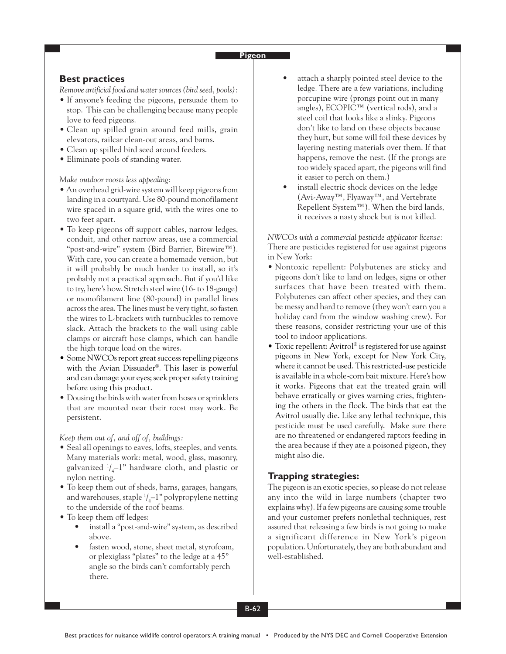#### **Pigeon**

### **Best practices**

*Remove artificial food and water sources (bird seed, pools):*

- If anyone's feeding the pigeons, persuade them to stop. This can be challenging because many people love to feed pigeons.
- Clean up spilled grain around feed mills, grain elevators, railcar clean-out areas, and barns.
- Clean up spilled bird seed around feeders.
- Eliminate pools of standing water.

#### *Make outdoor roosts less appealing:*

- An overhead grid-wire system will keep pigeons from landing in a courtyard. Use 80-pound monofilament wire spaced in a square grid, with the wires one to two feet apart.
- To keep pigeons off support cables, narrow ledges, conduit, and other narrow areas, use a commercial "post-and-wire" system (Bird Barrier, Birewire™). With care, you can create a homemade version, but it will probably be much harder to install, so it's probably not a practical approach. But if you'd like to try, here's how. Stretch steel wire (16- to 18-gauge) or monofilament line (80-pound) in parallel lines across the area. The lines must be very tight, so fasten the wires to L-brackets with turnbuckles to remove slack. Attach the brackets to the wall using cable clamps or aircraft hose clamps, which can handle the high torque load on the wires.
- Some NWCOs report great success repelling pigeons with the Avian Dissuader®. This laser is powerful and can damage your eyes; seek proper safety training before using this product.
- Dousing the birds with water from hoses or sprinklers that are mounted near their roost may work. Be persistent.

#### *Keep them out of, and off of, buildings:*

- Seal all openings to eaves, lofts, steeples, and vents. Many materials work: metal, wood, glass, masonry, galvanized 1 / 4 –1" hardware cloth, and plastic or nylon netting.
- To keep them out of sheds, barns, garages, hangars, and warehouses, staple  $\frac{1}{4}$ –1" polypropylene netting to the underside of the roof beams.
- To keep them off ledges:
	- install a "post-and-wire" system, as described above.
	- fasten wood, stone, sheet metal, styrofoam, or plexiglass "plates" to the ledge at a 45º angle so the birds can't comfortably perch there.
- attach a sharply pointed steel device to the ledge. There are a few variations, including porcupine wire (prongs point out in many angles), ECOPIC™ (vertical rods), and a steel coil that looks like a slinky. Pigeons don't like to land on these objects because they hurt, but some will foil these devices by layering nesting materials over them. If that happens, remove the nest. (If the prongs are too widely spaced apart, the pigeons will find it easier to perch on them.)
- install electric shock devices on the ledge (Avi-Away™, Flyaway™, and Vertebrate Repellent System™). When the bird lands, it receives a nasty shock but is not killed.

*NWCOs with a commercial pesticide applicator license:* There are pesticides registered for use against pigeons in New York:

- Nontoxic repellent: Polybutenes are sticky and pigeons don't like to land on ledges, signs or other surfaces that have been treated with them. Polybutenes can affect other species, and they can be messy and hard to remove (they won't earn you a holiday card from the window washing crew). For these reasons, consider restricting your use of this tool to indoor applications.
- Toxic repellent: Avitrol® is registered for use against pigeons in New York, except for New York City, where it cannot be used. This restricted-use pesticide is available in a whole-corn bait mixture. Here's how it works. Pigeons that eat the treated grain will behave erratically or gives warning cries, frightening the others in the flock. The birds that eat the Avitrol usually die. Like any lethal technique, this pesticide must be used carefully. Make sure there are no threatened or endangered raptors feeding in the area because if they ate a poisoned pigeon, they might also die.

### **Trapping strategies:**

The pigeon is an exotic species, so please do not release any into the wild in large numbers (chapter two explains why). If a few pigeons are causing some trouble and your customer prefers nonlethal techniques, rest assured that releasing a few birds is not going to make a significant difference in New York's pigeon population. Unfortunately, they are both abundant and well-established.